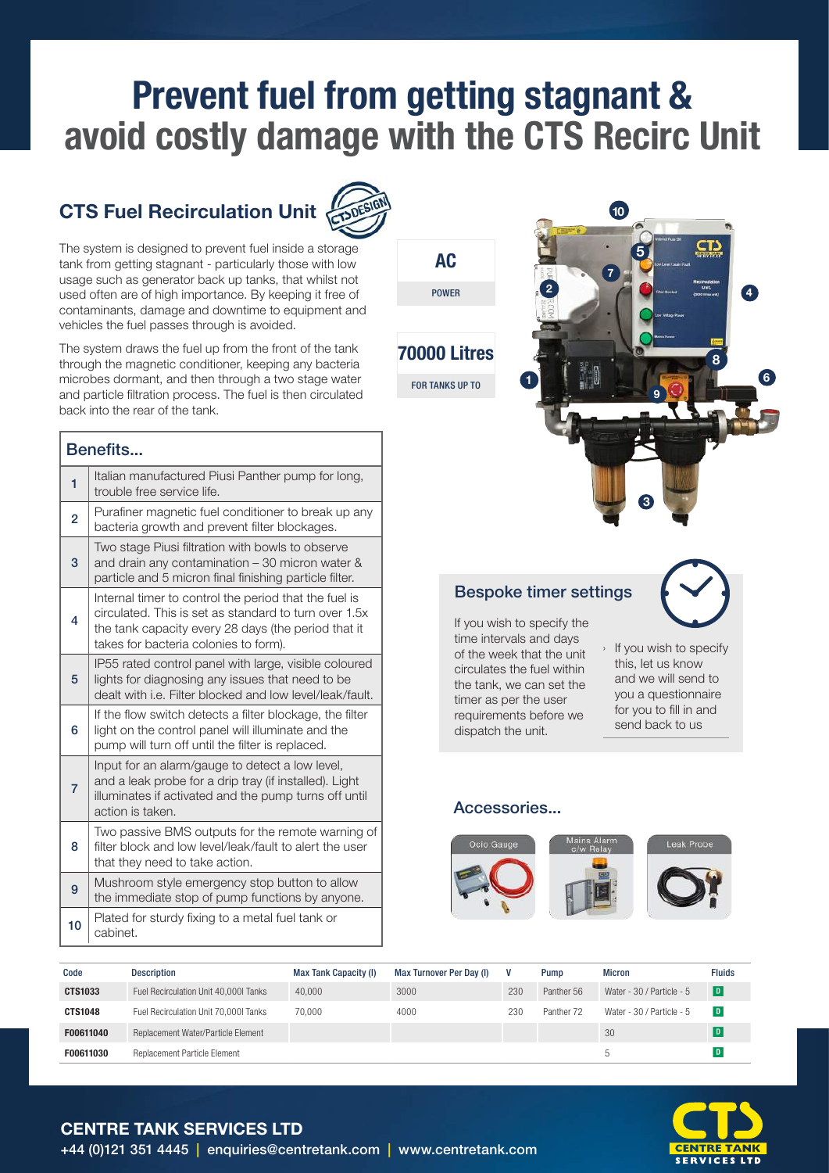# Prevent fuel from getting stagnant & avoid costly damage with the CTS Recirc Unit

# CTS Fuel Recirculation Unit



The system is designed to prevent fuel inside a storage tank from getting stagnant - particularly those with low usage such as generator back up tanks, that whilst not used often are of high importance. By keeping it free of contaminants, damage and downtime to equipment and vehicles the fuel passes through is avoided.

The system draws the fuel up from the front of the tank through the magnetic conditioner, keeping any bacteria microbes dormant, and then through a two stage water and particle filtration process. The fuel is then circulated back into the rear of the tank.

| Benefits       |                                                                                                                                                                                                                |  |  |  |  |
|----------------|----------------------------------------------------------------------------------------------------------------------------------------------------------------------------------------------------------------|--|--|--|--|
| 1              | Italian manufactured Piusi Panther pump for long,<br>trouble free service life.                                                                                                                                |  |  |  |  |
| $\overline{2}$ | Purafiner magnetic fuel conditioner to break up any<br>bacteria growth and prevent filter blockages.                                                                                                           |  |  |  |  |
| 3              | Two stage Piusi filtration with bowls to observe<br>and drain any contamination - 30 micron water &<br>particle and 5 micron final finishing particle filter.                                                  |  |  |  |  |
| 4              | Internal timer to control the period that the fuel is<br>circulated. This is set as standard to turn over 1.5x<br>the tank capacity every 28 days (the period that it<br>takes for bacteria colonies to form). |  |  |  |  |
| 5              | IP55 rated control panel with large, visible coloured<br>lights for diagnosing any issues that need to be<br>dealt with i.e. Filter blocked and low level/leak/fault.                                          |  |  |  |  |
| 6              | If the flow switch detects a filter blockage, the filter<br>light on the control panel will illuminate and the<br>pump will turn off until the filter is replaced.                                             |  |  |  |  |
| 7              | Input for an alarm/gauge to detect a low level,<br>and a leak probe for a drip tray (if installed). Light<br>illuminates if activated and the pump turns off until<br>action is taken.                         |  |  |  |  |
| 8              | Two passive BMS outputs for the remote warning of<br>filter block and low level/leak/fault to alert the user<br>that they need to take action.                                                                 |  |  |  |  |
| 9              | Mushroom style emergency stop button to allow<br>the immediate stop of pump functions by anyone.                                                                                                               |  |  |  |  |
| 10             | Plated for sturdy fixing to a metal fuel tank or<br>cabinet.                                                                                                                                                   |  |  |  |  |

# AC

POWER





### Bespoke timer settings

If you wish to specify the time intervals and days of the week that the unit circulates the fuel within the tank, we can set the timer as per the user requirements before we dispatch the unit.

- › If you wish to specify
- this, let us know and we will send to you a questionnaire for you to fill in and send back to us

#### Accessories...



| Code           | <b>Description</b>                    | <b>Max Tank Capacity (I)</b> | Max Turnover Per Day (I) |     | Pump       | <b>Micron</b>             | <b>Fluids</b> |
|----------------|---------------------------------------|------------------------------|--------------------------|-----|------------|---------------------------|---------------|
| <b>CTS1033</b> | Fuel Recirculation Unit 40,000 Tanks  | 40.000                       | 3000                     | 230 | Panther 56 | Water - 30 / Particle - 5 | D             |
| <b>CTS1048</b> | Fuel Recirculation Unit 70,000I Tanks | 70.000                       | 4000                     | 230 | Panther 72 | Water - 30 / Particle - 5 | D             |
| F00611040      | Replacement Water/Particle Element    |                              |                          |     |            | 30                        | D             |
| F00611030      | Replacement Particle Element          |                              |                          |     |            |                           |               |



CENTRE TANK SERVICES LTD